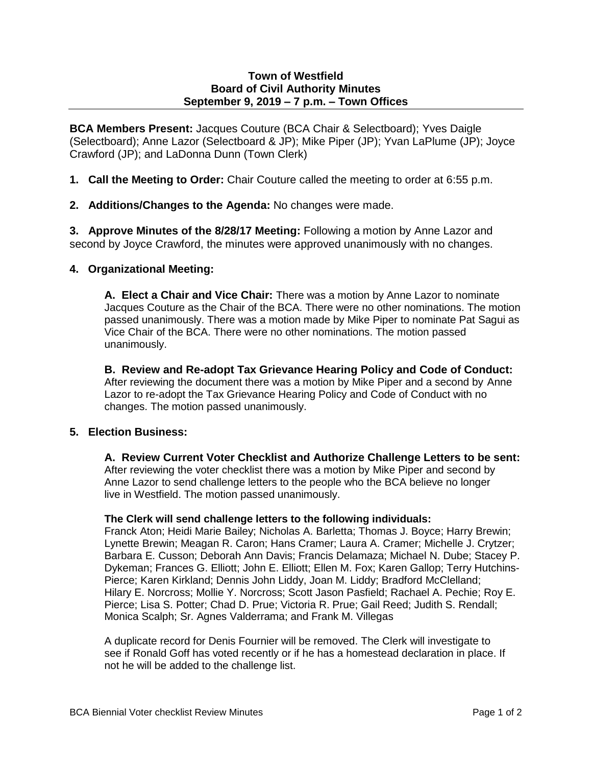## **Town of Westfield Board of Civil Authority Minutes September 9, 2019 – 7 p.m. – Town Offices**

**BCA Members Present:** Jacques Couture (BCA Chair & Selectboard); Yves Daigle (Selectboard); Anne Lazor (Selectboard & JP); Mike Piper (JP); Yvan LaPlume (JP); Joyce Crawford (JP); and LaDonna Dunn (Town Clerk)

- **1. Call the Meeting to Order:** Chair Couture called the meeting to order at 6:55 p.m.
- **2. Additions/Changes to the Agenda:** No changes were made.

**3. Approve Minutes of the 8/28/17 Meeting:** Following a motion by Anne Lazor and second by Joyce Crawford, the minutes were approved unanimously with no changes.

## **4. Organizational Meeting:**

**A. Elect a Chair and Vice Chair:** There was a motion by Anne Lazor to nominate Jacques Couture as the Chair of the BCA. There were no other nominations. The motion passed unanimously. There was a motion made by Mike Piper to nominate Pat Sagui as Vice Chair of the BCA. There were no other nominations. The motion passed unanimously.

**B. Review and Re-adopt Tax Grievance Hearing Policy and Code of Conduct:**  After reviewing the document there was a motion by Mike Piper and a second by Anne Lazor to re-adopt the Tax Grievance Hearing Policy and Code of Conduct with no changes. The motion passed unanimously.

## **5. Election Business:**

**A. Review Current Voter Checklist and Authorize Challenge Letters to be sent:**  After reviewing the voter checklist there was a motion by Mike Piper and second by Anne Lazor to send challenge letters to the people who the BCA believe no longer live in Westfield. The motion passed unanimously.

## **The Clerk will send challenge letters to the following individuals:**

Franck Aton; Heidi Marie Bailey; Nicholas A. Barletta; Thomas J. Boyce; Harry Brewin; Lynette Brewin; Meagan R. Caron; Hans Cramer; Laura A. Cramer; Michelle J. Crytzer; Barbara E. Cusson; Deborah Ann Davis; Francis Delamaza; Michael N. Dube; Stacey P. Dykeman; Frances G. Elliott; John E. Elliott; Ellen M. Fox; Karen Gallop; Terry Hutchins-Pierce; Karen Kirkland; Dennis John Liddy, Joan M. Liddy; Bradford McClelland; Hilary E. Norcross; Mollie Y. Norcross; Scott Jason Pasfield; Rachael A. Pechie; Roy E. Pierce; Lisa S. Potter; Chad D. Prue; Victoria R. Prue; Gail Reed; Judith S. Rendall; Monica Scalph; Sr. Agnes Valderrama; and Frank M. Villegas

A duplicate record for Denis Fournier will be removed. The Clerk will investigate to see if Ronald Goff has voted recently or if he has a homestead declaration in place. If not he will be added to the challenge list.